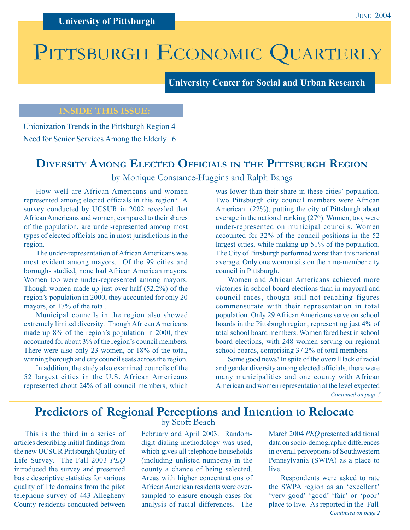# PITTSBURGH ECONOMIC QUARTERLY

**University Center for Social and Urban Research**

# **INSIDE THIS ISSUE:**

Unionization Trends in the Pittsburgh Region 4 Need for Senior Services Among the Elderly 6

# **DIVERSITY AMONG ELECTED OFFICIALS IN THE PITTSBURGH REGION**

by Monique Constance-Huggins and Ralph Bangs

How well are African Americans and women represented among elected officials in this region? A survey conducted by UCSUR in 2002 revealed that African Americans and women, compared to their shares of the population, are under-represented among most types of elected officials and in most jurisdictions in the region.

The under-representation of African Americans was most evident among mayors. Of the 99 cities and boroughs studied, none had African American mayors. Women too were under-represented among mayors. Though women made up just over half (52.2%) of the region's population in 2000, they accounted for only 20 mayors, or 17% of the total.

Municipal councils in the region also showed extremely limited diversity. Though African Americans made up 8% of the region's population in 2000, they accounted for about 3% of the region's council members. There were also only 23 women, or 18% of the total, winning borough and city council seats across the region.

In addition, the study also examined councils of the 52 largest cities in the U.S. African Americans represented about 24% of all council members, which was lower than their share in these cities' population. Two Pittsburgh city council members were African American (22%), putting the city of Pittsburgh about average in the national ranking  $(27<sup>th</sup>)$ . Women, too, were under-represented on municipal councils. Women accounted for 32% of the council positions in the 52 largest cities, while making up 51% of the population. The City of Pittsburgh performed worst than this national average. Only one woman sits on the nine-member city council in Pittsburgh.

Women and African Americans achieved more victories in school board elections than in mayoral and council races, though still not reaching figures commensurate with their representation in total population. Only 29 African Americans serve on school boards in the Pittsburgh region, representing just 4% of total school board members. Women fared best in school board elections, with 248 women serving on regional school boards, comprising 37.2% of total members.

*Continued on page 5* Some good news! In spite of the overall lack of racial and gender diversity among elected officials, there were many municipalities and one county with African American and women representation at the level expected

# **Predictors of Regional Perceptions and Intention to Relocate**

This is the third in a series of articles describing initial findings from the new UCSUR Pittsburgh Quality of Life Survey. The Fall 2003 *PEQ* introduced the survey and presented basic descriptive statistics for various quality of life domains from the pilot telephone survey of 443 Allegheny County residents conducted between

by Scott Beach

February and April 2003. Randomdigit dialing methodology was used, which gives all telephone households (including unlisted numbers) in the county a chance of being selected. Areas with higher concentrations of African American residents were oversampled to ensure enough cases for analysis of racial differences. The

March 2004 *PEQ* presented additional data on socio-demographic differences in overall perceptions of Southwestern Pennsylvania (SWPA) as a place to live.

*Continued on page 2* Respondents were asked to rate the SWPA region as an 'excellent' 'very good' 'good' 'fair' or 'poor' place to live. As reported in the Fall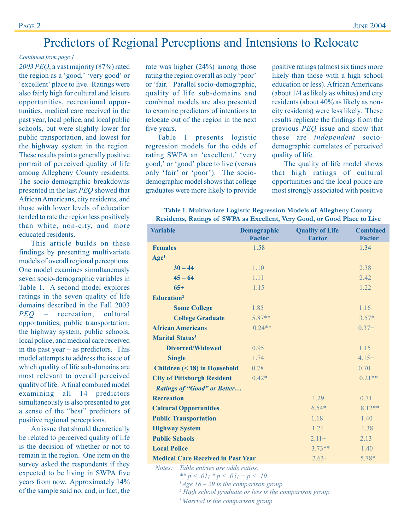# Predictors of Regional Perceptions and Intensions to Relocate

### *Continued from page 1*

*2003 PEQ*, a vast majority (87%) rated the region as a 'good,' 'very good' or 'excellent' place to live. Ratings were also fairly high for cultural and leisure opportunities, recreational opportunities, medical care received in the past year, local police, and local public schools, but were slightly lower for public transportation, and lowest for the highway system in the region. These results paint a generally positive portrait of perceived quality of life among Allegheny County residents. The socio-demographic breakdowns presented in the last *PEQ* showed that African Americans, city residents, and those with lower levels of education tended to rate the region less positively than white, non-city, and more educated residents.

This article builds on these findings by presenting multivariate models of overall regional perceptions. One model examines simultaneously seven socio-demographic variables in Table 1. A second model explores ratings in the seven quality of life domains described in the Fall 2003 *PEQ* – recreation, cultural opportunities, public transportation, the highway system, public schools, local police, and medical care received in the past year – as predictors. This model attempts to address the issue of which quality of life sub-domains are most relevant to overall perceived quality of life. A final combined model examining all 14 predictors simultaneously is also presented to get a sense of the "best" predictors of positive regional perceptions.

An issue that should theoretically be related to perceived quality of life is the decision of whether or not to remain in the region. One item on the survey asked the respondents if they expected to be living in SWPA five years from now. Approximately 14% of the sample said no, and, in fact, the rate was higher (24%) among those rating the region overall as only 'poor' or 'fair.' Parallel socio-demographic, quality of life sub-domains and combined models are also presented to examine predictors of intentions to relocate out of the region in the next five years.

Table 1 presents logistic regression models for the odds of rating SWPA an 'excellent,' 'very good,' or 'good' place to live (versus only 'fair' or 'poor'). The sociodemographic model shows that college graduates were more likely to provide

positive ratings (almost six times more likely than those with a high school education or less). African Americans (about 1/4 as likely as whites) and city residents (about 40% as likely as noncity residents) were less likely. These results replicate the findings from the previous *PEQ* issue and show that these are *independent* sociodemographic correlates of perceived quality of life.

The quality of life model shows that high ratings of cultural opportunities and the local police are most strongly associated with positive

| Table 1. Multivariate Logistic Regression Models of Allegheny County      |  |  |  |  |
|---------------------------------------------------------------------------|--|--|--|--|
| Residents, Ratings of SWPA as Excellent, Very Good, or Good Place to Live |  |  |  |  |

| <b>Variable</b>                                                                                                                                                                                                                                                                                                                                                                                             | Demographic                               | <b>Quality of Life</b> | <b>Combined</b> |
|-------------------------------------------------------------------------------------------------------------------------------------------------------------------------------------------------------------------------------------------------------------------------------------------------------------------------------------------------------------------------------------------------------------|-------------------------------------------|------------------------|-----------------|
|                                                                                                                                                                                                                                                                                                                                                                                                             | <b>Factor</b>                             | <b>Factor</b>          | <b>Factor</b>   |
| <b>Females</b>                                                                                                                                                                                                                                                                                                                                                                                              | 1.58                                      |                        | 1.34            |
| Age <sup>1</sup>                                                                                                                                                                                                                                                                                                                                                                                            |                                           |                        |                 |
| $30 - 44$                                                                                                                                                                                                                                                                                                                                                                                                   | 1.10                                      |                        | 2.38            |
| $45 - 64$                                                                                                                                                                                                                                                                                                                                                                                                   | 1.11                                      |                        | 2.42            |
| $65+$                                                                                                                                                                                                                                                                                                                                                                                                       | 1.15                                      |                        | 1.22            |
| <b>Education</b> <sup>2</sup>                                                                                                                                                                                                                                                                                                                                                                               |                                           |                        |                 |
| <b>Some College</b>                                                                                                                                                                                                                                                                                                                                                                                         | 1.85                                      |                        | 1.16            |
| <b>College Graduate</b>                                                                                                                                                                                                                                                                                                                                                                                     | $5.87**$                                  |                        | $3.57*$         |
| <b>African Americans</b>                                                                                                                                                                                                                                                                                                                                                                                    | $0.24**$                                  |                        | $0.37+$         |
| <b>Marital Status<sup>3</sup></b>                                                                                                                                                                                                                                                                                                                                                                           |                                           |                        |                 |
| <b>Divorced/Widowed</b>                                                                                                                                                                                                                                                                                                                                                                                     | 0.95                                      |                        | 1.15            |
| <b>Single</b>                                                                                                                                                                                                                                                                                                                                                                                               | 1.74                                      |                        | $4.15+$         |
| <b>Children (&lt; 18) in Household</b>                                                                                                                                                                                                                                                                                                                                                                      | 0.78                                      |                        | 0.70            |
| <b>City of Pittsburgh Resident</b>                                                                                                                                                                                                                                                                                                                                                                          | $0.42*$                                   |                        | $0.21**$        |
| <b>Ratings of "Good" or Better</b>                                                                                                                                                                                                                                                                                                                                                                          |                                           |                        |                 |
| <b>Recreation</b>                                                                                                                                                                                                                                                                                                                                                                                           |                                           | 1.29                   | 0.71            |
| <b>Cultural Opportunities</b>                                                                                                                                                                                                                                                                                                                                                                               |                                           | $6.54*$                | $8.12**$        |
| <b>Public Transportation</b>                                                                                                                                                                                                                                                                                                                                                                                |                                           | 1.18                   | 1.40            |
| <b>Highway System</b>                                                                                                                                                                                                                                                                                                                                                                                       |                                           | 1.21                   | 1.38            |
| <b>Public Schools</b>                                                                                                                                                                                                                                                                                                                                                                                       |                                           | $2.11+$                | 2.13            |
| <b>Local Police</b>                                                                                                                                                                                                                                                                                                                                                                                         |                                           | $3.73**$               | 1.40            |
|                                                                                                                                                                                                                                                                                                                                                                                                             | <b>Medical Care Received in Past Year</b> |                        |                 |
| Table entries are odds ratios.<br>Notes:<br>** $p < .01$ ; * $p < .05$ ; + $p < .10$<br>$\frac{1}{2}$ $\frac{1}{2}$ $\frac{1}{2}$ $\frac{1}{2}$ $\frac{1}{2}$ $\frac{1}{2}$ $\frac{1}{2}$ $\frac{1}{2}$ $\frac{1}{2}$ $\frac{1}{2}$ $\frac{1}{2}$ $\frac{1}{2}$ $\frac{1}{2}$ $\frac{1}{2}$ $\frac{1}{2}$ $\frac{1}{2}$ $\frac{1}{2}$ $\frac{1}{2}$ $\frac{1}{2}$ $\frac{1}{2}$ $\frac{1}{2}$ $\frac{1}{2}$ |                                           |                        |                 |

*1 Age 18 – 29 is the comparison group.*

*2 High school graduate or less is the comparison group.*

*3 Married is the comparison group.*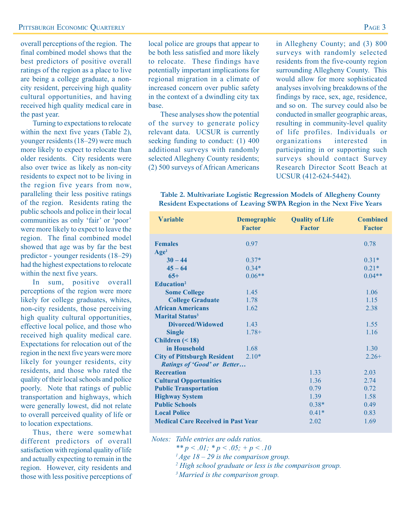overall perceptions of the region. The final combined model shows that the best predictors of positive overall ratings of the region as a place to live are being a college graduate, a noncity resident, perceiving high quality cultural opportunities, and having received high quality medical care in the past year.

Turning to expectations to relocate within the next five years (Table 2), younger residents (18–29) were much more likely to expect to relocate than older residents. City residents were also over twice as likely as non-city residents to expect not to be living in the region five years from now, paralleling their less positive ratings of the region. Residents rating the public schools and police in their local communities as only 'fair' or 'poor' were more likely to expect to leave the region. The final combined model showed that age was by far the best predictor - younger residents (18–29) had the highest expectations to relocate within the next five years.

In sum, positive overall perceptions of the region were more likely for college graduates, whites, non-city residents, those perceiving high quality cultural opportunities, effective local police, and those who received high quality medical care. Expectations for relocation out of the region in the next five years were more likely for younger residents, city residents, and those who rated the quality of their local schools and police poorly. Note that ratings of public transportation and highways, which were generally lowest, did not relate to overall perceived quality of life or to location expectations.

Thus, there were somewhat different predictors of overall satisfaction with regional quality of life and actually expecting to remain in the region. However, city residents and those with less positive perceptions of local police are groups that appear to be both less satisfied and more likely to relocate. These findings have potentially important implications for regional migration in a climate of increased concern over public safety in the context of a dwindling city tax base.

These analyses show the potential of the survey to generate policy relevant data. UCSUR is currently seeking funding to conduct: (1) 400 additional surveys with randomly selected Allegheny County residents; (2) 500 surveys of African Americans

in Allegheny County; and (3) 800 surveys with randomly selected residents from the five-county region surrounding Allegheny County. This would allow for more sophisticated analyses involving breakdowns of the findings by race, sex, age, residence, and so on. The survey could also be conducted in smaller geographic areas, resulting in community-level quality of life profiles. Individuals or organizations interested in participating in or supporting such surveys should contact Survey Research Director Scott Beach at UCSUR (412-624-5442).

### **Table 2. Multivariate Logistic Regression Models of Allegheny County Resident Expectations of Leaving SWPA Region in the Next Five Years**

| <b>Variable</b>                           | <b>Demographic</b><br><b>Factor</b> | <b>Quality of Life</b><br><b>Factor</b> | <b>Combined</b><br><b>Factor</b> |
|-------------------------------------------|-------------------------------------|-----------------------------------------|----------------------------------|
| <b>Females</b>                            | 0.97                                |                                         | 0.78                             |
| Age <sup>1</sup>                          |                                     |                                         |                                  |
| $30 - 44$                                 | $0.37*$                             |                                         | $0.31*$                          |
| $45 - 64$                                 | $0.34*$                             |                                         | $0.21*$                          |
| $65+$                                     | $0.06**$                            |                                         | $0.04**$                         |
| Education <sup>2</sup>                    |                                     |                                         |                                  |
| <b>Some College</b>                       | 1.45                                |                                         | 1.06                             |
| <b>College Graduate</b>                   | 1.78                                |                                         | 1.15                             |
| <b>African Americans</b>                  | 1.62                                |                                         | 2.38                             |
| <b>Marital Status<sup>3</sup></b>         |                                     |                                         |                                  |
| <b>Divorced/Widowed</b>                   | 1.43                                |                                         | 1.55                             |
| <b>Single</b>                             | $1.78+$                             |                                         | 1.16                             |
| Children $(< 18)$                         |                                     |                                         |                                  |
| in Household                              | 1.68                                |                                         | 1.30                             |
| <b>City of Pittsburgh Resident</b>        | $2.10*$                             |                                         | $2.26+$                          |
| <b>Ratings of 'Good' or Better</b>        |                                     |                                         |                                  |
| <b>Recreation</b>                         |                                     | 1.33                                    | 2.03                             |
| <b>Cultural Opportunities</b>             |                                     | 1.36                                    | 2.74                             |
| <b>Public Transportation</b>              |                                     | 0.79                                    | 0.72                             |
| <b>Highway System</b>                     |                                     | 1.39                                    | 1.58                             |
| <b>Public Schools</b>                     |                                     | $0.38*$                                 | 0.49                             |
| <b>Local Police</b>                       |                                     | $0.41*$                                 | 0.83                             |
| <b>Medical Care Received in Past Year</b> |                                     | 2.02                                    | 1.69                             |

*Notes: Table entries are odds ratios.*

*\*\* p < .01; \* p < .05; + p < .10*

*1 Age 18 – 29 is the comparison group.*

*2 High school graduate or less is the comparison group.*

*3 Married is the comparison group.*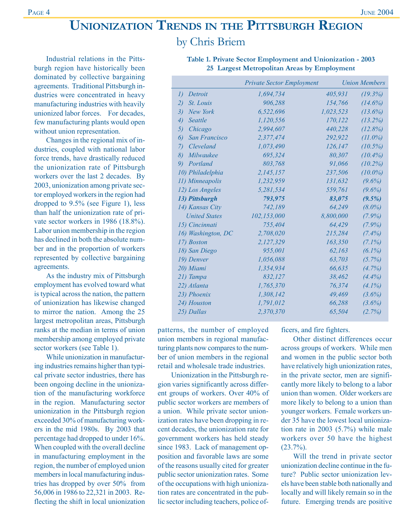# **UNIONIZATION TRENDS IN THE PITTSBURGH REGION** by Chris Briem

Industrial relations in the Pittsburgh region have historically been dominated by collective bargaining agreements. Traditional Pittsburgh industries were concentrated in heavy manufacturing industries with heavily unionized labor forces. For decades, few manufacturing plants would open without union representation.

Changes in the regional mix of industries, coupled with national labor force trends, have drastically reduced the unionization rate of Pittsburgh workers over the last 2 decades. By 2003, unionization among private sector employed workers in the region had dropped to 9.5% (see Figure 1), less than half the unionization rate of private sector workers in 1986 (18.8%). Labor union membership in the region has declined in both the absolute number and in the proportion of workers represented by collective bargaining agreements.

As the industry mix of Pittsburgh employment has evolved toward what is typical across the nation, the pattern of unionization has likewise changed to mirror the nation. Among the 25 largest metropolitan areas, Pittsburgh ranks at the median in terms of union membership among employed private sector workers (see Table 1).

While unionization in manufacturing industries remains higher than typical private sector industries, there has been ongoing decline in the unionization of the manufacturing workforce in the region. Manufacturing sector unionization in the Pittsburgh region exceeded 30% of manufacturing workers in the mid 1980s. By 2003 that percentage had dropped to under 16%. When coupled with the overall decline in manufacturing employment in the region, the number of employed union members in local manufacturing industries has dropped by over 50% from 56,006 in 1986 to 22,321 in 2003. Reflecting the shift in local unionization

|                         | <b>Private Sector Employment</b> |           |            |
|-------------------------|----------------------------------|-----------|------------|
| I)<br>Detroit           | 1,694,734                        | 405,931   | (19.3%)    |
| St. Louis<br>2)         | 906,288                          | 154,766   | (14.6%)    |
| 3)<br>New York          | 6,522,696                        | 1,023,523 | $(13.6\%)$ |
| 4)<br>Seattle           | 1,120,556                        | 170,122   | $(13.2\%)$ |
| 5)<br>Chicago           | 2,994,607                        | 440,228   | (12.8%)    |
| San Francisco<br>6)     | 2,377,474                        | 292,922   | $(11.0\%)$ |
| Cleveland<br>7)         | 1,073,490                        | 126,147   | $(10.5\%)$ |
| $\delta$ )<br>Milwaukee | 695,324                          | 80,307    | $(10.4\%)$ |
| 9)<br>Portland          | 803,768                          | 91,066    | $(10.2\%)$ |
| 10) Philadelphia        | 2,145,157                        | 237,506   | $(10.0\%)$ |
| 11) Minneapolis         | 1,232,959                        | 131,632   | $(9.6\%)$  |
| 12) Los Angeles         | 5,281,534                        | 559,761   | $(9.6\%)$  |
| 13) Pittsburgh          | 793,975                          | 83,075    | $(9.5\%)$  |
| 14) Kansas City         | 742,189                          | 64,249    | $(8.0\%)$  |
| <b>United States</b>    | 102,153,000                      | 8,800,000 | $(7.9\%)$  |
| 15) Cincinnati          | 755,404                          | 64,429    | $(7.9\%)$  |
| 16) Washington, DC      | 2,708,020                        | 215,284   | $(7.4\%)$  |
| 17) Boston              | 2,127,329                        | 163,350   | $(7.1\%)$  |
| 18) San Diego           | 955,001                          | 62,163    | $(6.1\%)$  |
| 19) Denver              | 1,056,088                        | 63,703    | (5.7%)     |
| 20) Miami               | 1,354,934                        | 66,635    | (4.7%)     |
| 21) Tampa               | 832,127                          | 38,462    | (4.4%)     |
| 22) Atlanta             | 1,765,370                        | 76,374    | $(4.1\%)$  |
| 23) Phoenix             | 1,308,142                        | 49,469    | $(3.6\%)$  |
| 24) Houston             | 1,791,012                        | 66,288    | $(3.6\%)$  |
| 25) Dallas              | 2,370,370                        | 65,504    | (2.7%)     |

**Table 1. Private Sector Employment and Unionization - 2003 25 Largest Metropolitan Areas by Employment**

patterns, the number of employed union members in regional manufacturing plants now compares to the number of union members in the regional retail and wholesale trade industries.

 Unionization in the Pittsburgh region varies significantly across different groups of workers. Over 40% of public sector workers are members of a union. While private sector unionization rates have been dropping in recent decades, the unionization rate for government workers has held steady since 1983. Lack of management opposition and favorable laws are some of the reasons usually cited for greater public sector unionization rates. Some of the occupations with high unionization rates are concentrated in the public sector including teachers, police officers, and fire fighters.

Other distinct differences occur across groups of workers. While men and women in the public sector both have relatively high unionization rates, in the private sector, men are significantly more likely to belong to a labor union than women. Older workers are more likely to belong to a union than younger workers. Female workers under 35 have the lowest local unionization rate in 2003 (5.7%) while male workers over 50 have the highest  $(23.7\%)$ .

Will the trend in private sector unionization decline continue in the future? Public sector unionization levels have been stable both nationally and locally and will likely remain so in the future. Emerging trends are positive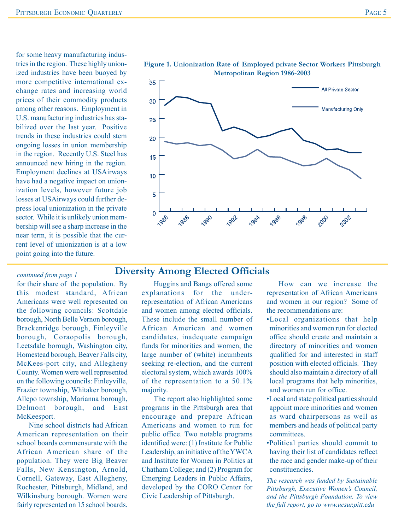for some heavy manufacturing industries in the region. These highly unionized industries have been buoyed by more competitive international exchange rates and increasing world prices of their commodity products among other reasons. Employment in U.S. manufacturing industries has stabilized over the last year. Positive trends in these industries could stem ongoing losses in union membership in the region. Recently U.S. Steel has announced new hiring in the region. Employment declines at USAirways have had a negative impact on unionization levels, however future job losses at USAirways could further depress local unionization in the private sector. While it is unlikely union membership will see a sharp increase in the near term, it is possible that the current level of unionization is at a low point going into the future.

## $35$ All Private Sector 30 **Manufacturing Only** 25 20 15 10 5 0 **LOBB** 1990 1996 1992 **1994** 1998 2000 2002 1986

### **Figure 1. Unionization Rate of Employed private Sector Workers Pittsburgh Metropolitan Region 1986-2003**

# **Diversity Among Elected Officials**

for their share of the population. By this modest standard, African Americans were well represented on the following councils: Scottdale borough, North Belle Vernon borough, Brackenridge borough, Finleyville borough, Coraopolis borough, Leetsdale borough, Washington city, Homestead borough, Beaver Falls city, McKees-port city, and Allegheny County. Women were well represented on the following councils: Finleyville, Frazier township, Whitaker borough, Allepo township, Marianna borough, Delmont borough, and East McKeesport.

*continued from page 1*

Nine school districts had African American representation on their school boards commensurate with the African American share of the population. They were Big Beaver Falls, New Kensington, Arnold, Cornell, Gateway, East Allegheny, Rochester, Pittsburgh, Midland, and Wilkinsburg borough. Women were fairly represented on 15 school boards.

Huggins and Bangs offered some explanations for the underrepresentation of African Americans and women among elected officials. These include the small number of African American and women candidates, inadequate campaign funds for minorities and women, the large number of (white) incumbents seeking re-election, and the current electoral system, which awards 100% of the representation to a 50.1% majority.

The report also highlighted some programs in the Pittsburgh area that encourage and prepare African Americans and women to run for public office. Two notable programs identified were: (1) Institute for Public Leadership, an initiative of the YWCA and Institute for Women in Politics at Chatham College; and (2) Program for Emerging Leaders in Public Affairs, developed by the CORO Center for Civic Leadership of Pittsburgh.

How can we increase the representation of African Americans and women in our region? Some of the recommendations are:

- •Local organizations that help minorities and women run for elected office should create and maintain a directory of minorities and women qualified for and interested in staff position with elected officials. They should also maintain a directory of all local programs that help minorities, and women run for office.
- •Local and state political parties should appoint more minorities and women as ward chairpersons as well as members and heads of political party committees.
- •Political parties should commit to having their list of candidates reflect the race and gender make-up of their constituencies.

*The research was funded by Sustainable Pittsburgh, Executive Women's Council, and the Pittsburgh Foundation. To view the full report, go to www.ucsur.pitt.edu*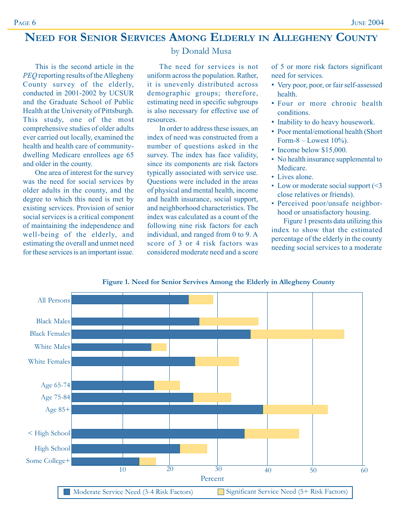# **NEED FOR SENIOR SERVICES AMONG ELDERLY IN ALLEGHENY COUNTY**

This is the second article in the *PEQ* reporting results of the Allegheny County survey of the elderly, conducted in 2001-2002 by UCSUR and the Graduate School of Public Health at the University of Pittsburgh. This study, one of the most comprehensive studies of older adults ever carried out locally, examined the health and health care of communitydwelling Medicare enrollees age 65 and older in the county.

One area of interest for the survey was the need for social services by older adults in the county, and the degree to which this need is met by existing services. Provision of senior social services is a critical component of maintaining the independence and well-being of the elderly, and estimating the overall and unmet need for these services is an important issue.

# by Donald Musa

The need for services is not uniform across the population. Rather, it is unevenly distributed across demographic groups; therefore, estimating need in specific subgroups is also necessary for effective use of resources.

In order to address these issues, an index of need was constructed from a number of questions asked in the survey. The index has face validity, since its components are risk factors typically associated with service use. Questions were included in the areas of physical and mental health, income and health insurance, social support, and neighborhood characteristics. The index was calculated as a count of the following nine risk factors for each individual, and ranged from 0 to 9. A score of 3 or 4 risk factors was considered moderate need and a score of 5 or more risk factors significant need for services.

- Very poor, poor, or fair self-assessed health.
- Four or more chronic health conditions.
- Inability to do heavy housework.
- Poor mental/emotional health (Short Form-8 – Lowest  $10\%$ ).
- Income below \$15,000.
- No health insurance supplemental to Medicare.
- Lives alone.
- Low or moderate social support (<3 close relatives or friends).
- Perceived poor/unsafe neighborhood or unsatisfactory housing.

Figure 1 presents data utilizing this index to show that the estimated percentage of the elderly in the county needing social services to a moderate



**Figure 1. Need for Senior Servives Among the Elderly in Allegheny County**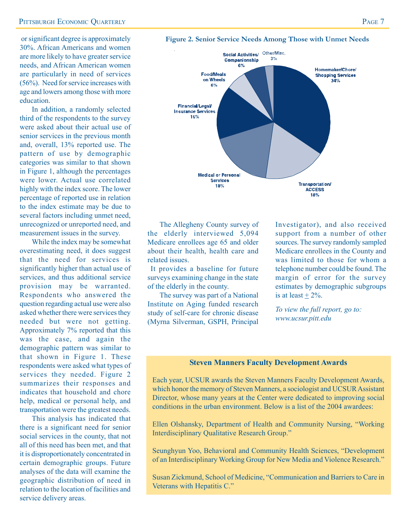### **PITTSBURGH ECONOMIC OUARTERLY PAGE 7**

30%. African Americans and women are more likely to have greater service needs, and African American women are particularly in need of services (56%). Need for service increases with age and lowers among those with more education.

In addition, a randomly selected third of the respondents to the survey were asked about their actual use of senior services in the previous month and, overall, 13% reported use. The pattern of use by demographic categories was similar to that shown in Figure 1, although the percentages were lower. Actual use correlated highly with the index score. The lower percentage of reported use in relation to the index estimate may be due to several factors including unmet need, unrecognized or unreported need, and measurement issues in the survey.

While the index may be somewhat overestimating need, it does suggest that the need for services is significantly higher than actual use of services, and thus additional service provision may be warranted. Respondents who answered the question regarding actual use were also asked whether there were services they needed but were not getting. Approximately 7% reported that this was the case, and again the demographic pattern was similar to that shown in Figure 1. These respondents were asked what types of services they needed. Figure 2 summarizes their responses and indicates that household and chore help, medical or personal help, and transportation were the greatest needs.

This analysis has indicated that there is a significant need for senior social services in the county, that not all of this need has been met, and that it is disproportionately concentrated in certain demographic groups. Future analyses of the data will examine the geographic distribution of need in relation to the location of facilities and service delivery areas.

### or significant degree is approximately **Figure 2. Senior Service Needs Among Those with Unmet Needs**



The Allegheny County survey of the elderly interviewed 5,094 Medicare enrollees age 65 and older about their health, health care and related issues.

 It provides a baseline for future surveys examining change in the state of the elderly in the county.

The survey was part of a National Institute on Aging funded research study of self-care for chronic disease (Myrna Silverman, GSPH, Principal

Investigator), and also received support from a number of other sources. The survey randomly sampled Medicare enrollees in the County and was limited to those for whom a telephone number could be found. The margin of error for the survey estimates by demographic subgroups is at least  $+2\%$ .

*To view the full report, go to: www.ucsur.pitt.edu*

### **Steven Manners Faculty Development Awards**

Each year, UCSUR awards the Steven Manners Faculty Development Awards, which honor the memory of Steven Manners, a sociologist and UCSUR Assistant Director, whose many years at the Center were dedicated to improving social conditions in the urban environment. Below is a list of the 2004 awardees:

Ellen Olshansky, Department of Health and Community Nursing, "Working Interdisciplinary Qualitative Research Group."

Seunghyun Yoo, Behavioral and Community Health Sciences, "Development of an Interdisciplinary Working Group for New Media and Violence Research."

Susan Zickmund, School of Medicine, "Communication and Barriers to Care in Veterans with Hepatitis C."